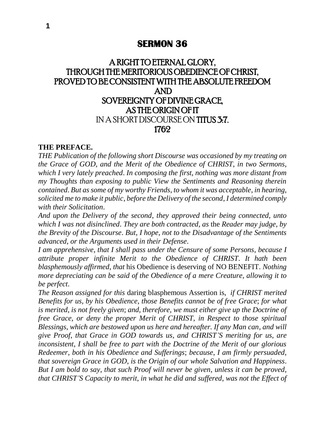## **SERMON 36**

# A RIGHT TO ETERNAL GLORY, THROUGH THE MERITORIOUS OBEDIENCE OF CHRIST, PROVED TO BE CONSISTENT WITH THE ABSOLUTE FREEDOM AND SOVEREIGNTY OF DIVINE GRACE, AS THE ORIGIN OF IT IN A SHORT DISCOURSE ON TITUS 3:7. 1762

#### **THE PREFACE.**

*THE Publication of the following short Discourse was occasioned by my treating on the Grace of GOD*, *and the Merit of the Obedience of CHRIST*, *in two Sermons*, *which I very lately preached*. *In composing the first*, *nothing was more distant from my Thoughts than exposing to public View the Sentiments and Reasoning therein contained*. *But as some of my worthy Friends*, *to whom it was acceptable*, *in hearing*, *solicited me to make it public*, *before the Delivery of the second*, *I determined comply with their Solicitation*.

*And upon the Delivery of the second*, *they approved their being connected*, *unto which I was not disinclined*. *They are both contracted*, *as* the *Reader may judge*, *by the Brevity of the Discourse*. *But*, *I hope*, *not to the Disadvantage of the Sentiments advanced*, *or the Arguments used in their Defense*.

*I am apprehensive*, *that I shall pass under the Censure of some Persons*, *because I attribute proper infinite Merit to the Obedience of CHRIST*. *It hath been blasphemously affirmed*, *that* his Obedience is deserving of NO BENEFIT. *Nothing more depreciating can be said of the Obedience of a mere Creature*, *allowing it to be perfect*.

*The Reason assigned for this* daring blasphemous Assertion is, *if CHRIST merited Benefits for us*, *by his Obedience*, *those Benefits cannot be of free Grace*; *for what is merited*, *is not freely given*; *and*, *therefore*, *we must either give up the Doctrine of free Grace*, *or deny the proper Merit of CHRIST*, *in Respect to those spiritual Blessings*, *which are bestowed upon us here and hereafter. If any Man can*, *and will give Proof*, *that Grace in GOD towards us*, *and CHRIST'S meriting for us*, *are inconsistent*, *I shall be free to part with the Doctrine of the Merit of our glorious Redeemer*, *both in his Obedience and Sufferings*; *because*, *I am firmly persuaded*, *that sovereign Grace in GOD*, *is the Origin of our whole Salvation and Happiness*. *But I am bold to say*, *that such Proof will never be given*, *unless it can be proved*, *that CHRIST'S Capacity to merit*, *in what he did and suffered*, *was not the Effect of*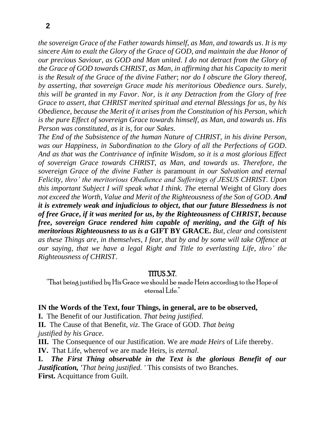*the sovereign Grace of the Father towards himself*, *as Man*, *and towards us*. *It is my sincere Aim to exalt the Glory of the Grace of GOD*, *and maintain the due Honor of our precious Saviour*, *as GOD and Man united*. *I do not detract from the Glory of the Grace of GOD towards CHRIST*, *as Man*, *in affirming that his Capacity to merit is the Result of the Grace of the divine Father*; *nor do I obscure the Glory thereof*, *by asserting*, *that sovereign Grace made his meritorious Obedience ours*. *Surely*, *this will be granted* in *my Favor*. *Nor*, *is it any Detraction from the Glory of free Grace to assert*, *that CHRIST merited spiritual and eternal Blessings for us*, *by his Obedience*, *because the Merit of it arises from the Constitution of his Person*, *which is the pure Effect of sovereign Grace towards himself*, *as Man*, *and towards us*. *His Person was constituted*, *as it is*, for *our Sakes*.

*The End of the Subsistence of the human Nature of CHRIST*, *in his divine Person*, *was our Happiness*, *in Subordination to the Glory of all the Perfections of GOD*. *And as that was the Contrivance of infinite Wisdom*, *so it is a most glorious Effect of sovereign Grace towards CHRIST*, *as Man*, *and towards us*. *Therefore*, *the sovereign Grace of the divine Father is* paramount *in our Salvation and eternal Felicity*, *thro' the meritorious Obedience and Sufferings of JESUS CHRIST*. *Upon this important Subject I will speak what I think. The* eternal Weight of Glory *does not exceed the Worth*, *Value and Merit of the Righteousness of the Son of GOD*. *And it is extremely weak and injudicious to object***,** *that our future Blessedness is not of free Grace***,** *if it was merited for us***,** *by the Righteousness of CHRIST***,** *because free***,** *sovereign Grace rendered him capable of meriting***,** *and the Gift of his meritorious Righteousness to us is a* **GIFT BY GRACE.** *But*, *clear and consistent as these Things are*, *in themselves*, *I fear*, *that by and by some will take Offence at our saying*, *that we have a legal Right and Title to everlasting Life*, *thro' the Righteousness of CHRIST*.

### TITUS 3:7.

"That being justified by His Grace we should be made Heirs according to the Hope of eternal Life."

#### **IN the Words of the Text, four Things, in general, are to be observed,**

**I.** The Benefit of our Justification. *That being justified*.

**II.** The Cause of that Benefit, *viz*. The Grace of GOD. *That being justified by his Grace*.

**III.** The Consequence of our Justification. We are *made Heirs* of Life thereby.

**IV.** That Life, whereof we are made Heirs, is *eternal*.

**I.** *The First Thing observable in the Text is the glorious Benefit of our Justification, 'That being justified. '* This consists of two Branches. **First.** Acquittance from Guilt.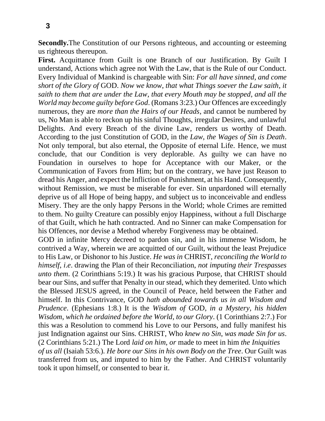**Secondly.**The Constitution of our Persons righteous, and accounting or esteeming us righteous thereupon.

First. Acquittance from Guilt is one Branch of our Justification. By Guilt I understand, Actions which agree not With the Law, that is the Rule of our Conduct. Every Individual of Mankind is chargeable with Sin: *For all have sinned*, *and come short of the Glory of* GOD. *Now we know*, *that what Things soever the Law saith*, *it saith to them that are under the Law*, *that every Mouth may be stopped*, *and all the World may become guilty before God*. (Romans 3:23.) Our Offences are exceedingly numerous, they are *more than the Hairs of our Heads*, and cannot be numbered by us, No Man is able to reckon up his sinful Thoughts, irregular Desires, and unlawful Delights. And every Breach of the divine Law, renders us worthy of Death. According to the just Constitution of GOD, in the *Law*, *the Wages of Sin is Death*. Not only temporal, but also eternal, the Opposite of eternal Life. Hence, we must conclude, that our Condition is very deplorable. As guilty we can have no Foundation in ourselves to hope for Acceptance with our Maker, or the Communication of Favors from Him; but on the contrary, we have just Reason to dread his Anger, and expect the Infliction of Punishment, at his Hand. Consequently, without Remission, we must be miserable for ever. Sin unpardoned will eternally deprive us of all Hope of being happy, and subject us to inconceivable and endless Misery. They are the only happy Persons in the World; whole Crimes are remitted to them. No guilty Creature can possibly enjoy Happiness, without a full Discharge of that Guilt, which he hath contracted. And no Sinner can make Compensation for his Offences, nor devise a Method whereby Forgiveness may be obtained.

GOD in infinite Mercy decreed to pardon sin, and in his immense Wisdom, he contrived a Way, wherein we are acquitted of our Guilt, without the least Prejudice to His Law, or Dishonor to his Justice. *He was in* CHRIST, *reconciling the World to himself*, *i*.*e*. drawing the Plan of their Reconciliation, *not imputing their Trespasses unto them*. (2 Corinthians 5:19.) It was his gracious Purpose, that CHRIST should bear our Sins, and suffer that Penalty in our stead, which they demerited. Unto which the Blessed JESUS agreed, in the Council of Peace, held between the Father and himself. In this Contrivance, GOD *hath abounded towards us in all Wisdom and Prudence*. (Ephesians 1:8.) It is the *Wisdom of* GOD, *in a Mystery*, *his hidden Wisdom*, *which he ordained before the World*, *to our Glory*. (1 Corinthians 2:7.) For this was a Resolution to commend his Love to our Persons, and fully manifest his just Indignation against our Sins. CHRIST, Who *knew no Sin*, *was made Sin for us*. (2 Corinthians 5:21.) The Lord *laid on him*, *or* made to meet in him *the Iniquities of us all* (Isaiah 53:6.). *He bore our Sins in his own Body on the Tree*. Our Guilt was transferred from us, and imputed to him by the Father. And CHRIST voluntarily took it upon himself, or consented to bear it.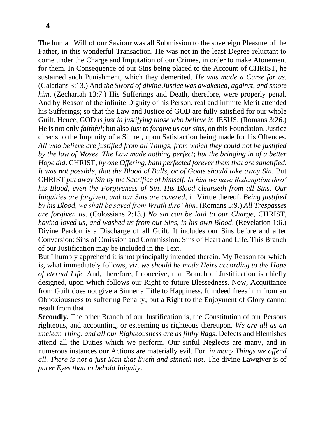The human Will of our Saviour was all Submission to the sovereign Pleasure of the Father, in this wonderful Transaction. He was not in the least Degree reluctant to come under the Charge and Imputation of our Crimes, in order to make Atonement for them. In Consequence of our Sins being placed to the Account of CHRIST, he sustained such Punishment, which they demerited. *He was made a Curse for us*. (Galatians 3:13.) And *the Sword of divine Justice was awakened*, *against*, *and smote him.* (Zechariah 13:7.) His Sufferings and Death, therefore, were properly penal. And by Reason of the infinite Dignity of his Person, real and infinite Merit attended his Sufferings; so that the Law and Justice of GOD are fully satisfied for our whole Guilt. Hence, GOD *is just in justifying those who believe in* JESUS. (Romans 3:26.) He is not only *faithful*; but also *just to forgive us our sins*, on this Foundation. Justice directs to the Impunity of a Sinner, upon Satisfaction being made for his Offences. *All who believe are justified from all Things*, *from which they could not be justified by the law of Moses*. *The Law made nothing perfect*; *but the bringing in of a better Hope did*. CHRIST, *by one Offering*, *hath perfected forever them that are sanctified*. *It was not possible*, *that the Blood of Bulls*, *or of Goats should take away Sin*. But CHRIST *put away Sin by the Sacrifice of himself*. *In him we have Redemption thro' his Blood*, *even the Forgiveness of Sin*. *His Blood cleanseth from all Sins*. *Our Iniquities are forgiven*, *and our Sins are covered*, in Virtue thereof. *Being justified by his Blood*, *we shall be saved from Wrath thro' him*. (Romans 5:9.) *All Trespasses are forgiven us*. (Colossians 2:13.) *No sin can be laid to our Charge*, CHRIST, *having loved us*, *and washed us from our Sins*, *in his own Blood*. (Revelation 1:6.) Divine Pardon is a Discharge of all Guilt. It includes our Sins before and after Conversion: Sins of Omission and Commission: Sins of Heart and Life. This Branch of our Justification may be included in the Text.

But I humbly apprehend it is not principally intended therein. My Reason for which is, what immediately follows, *viz*. *we should be made Heirs according to the Hope of eternal Life*. And, therefore, I conceive, that Branch of Justification is chiefly designed, upon which follows our Right to future Blessedness. Now, Acquittance from Guilt does not give a Sinner a Title to Happiness. It indeed frees him from an Obnoxiousness to suffering Penalty; but a Right to the Enjoyment of Glory cannot result from that.

**Secondly.** The other Branch of our Justification is, the Constitution of our Persons righteous, and accounting, or esteeming us righteous thereupon. *We are all as an unclean Thing*, *and all our Righteousness are as filthy Rags*. Defects and Blemishes attend all the Duties which we perform. Our sinful Neglects are many, and in numerous instances our Actions are materially evil. For, *in many Things we offend all*. *There is not a just Man that liveth and sinneth not*. The divine Lawgiver is of *purer Eyes than to behold Iniquity*.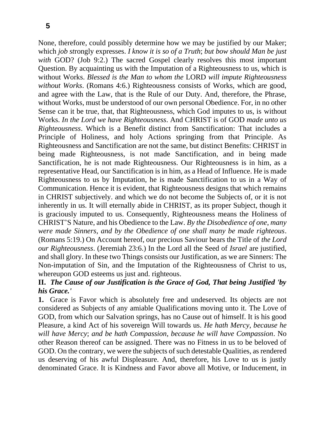None, therefore, could possibly determine how we may be justified by our Maker; which *job st*rongly expresses. *I know it is so of a Truth*; *but bow should Man be just*  with GOD? (Job 9:2.) The sacred Gospel clearly resolves this most important Question. By acquainting us with the Imputation of a Righteousness to us, which is without Works. *Blessed is the Man to whom the* LORD *will impute Righteousness without Works*. (Romans 4:6.) Righteousness consists of Works, which are good, and agree with the Law, that is the Rule of our Duty. And, therefore, the Phrase, without Works, must be understood of our own personal Obedience. For, in no other Sense can it be true, that, that Righteousness, which God imputes to us, is without Works. *In the Lord we have Righteousness*. And CHRIST is of GOD *made unto us Righteousness*. Which is a Benefit distinct from Sanctification: That includes a Principle of Holiness, and holy Actions springing from that Principle. As Righteousness and Sanctification are not the same, but distinct Benefits: CHRIST in being made Righteousness, is not made Sanctification, and in being made Sanctification, he is not made Righteousness. Our Righteousness is in him, as a representative Head, our Sanctification is in him, as a Head of Influence. He is made Righteousness to us by Imputation, he is made Sanctification to us in a Way of Communication. Hence it is evident, that Righteousness designs that which remains in CHRIST subjectively. and which we do not become the Subjects of, or it is not inherently in us. It will eternally abide in CHRIST, as its proper Subject, though it is graciously imputed to us. Consequently, Righteousness means the Holiness of CHRIST'S Nature, and his Obedience to the Law. *By the Disobedience of one*, *many were made Sinners*, *and by the Obedience of one shall many be made righteous*. (Romans 5:19.) On Account hereof, our precious Saviour bears the Title of *the Lord our Righteousness*. (Jeremiah 23:6.) In the Lord all the Seed of *Israel* are justified, and shall glory. In these two Things consists our Justification, as we are Sinners: The Non-imputation of Sin, and the Imputation of the Righteousness of Christ to us, whereupon GOD esteems us just and. righteous.

### **II.** *The Cause of our Justification is the Grace of God, That being Justified 'by his Grace.'*

**1.** Grace is Favor which is absolutely free and undeserved. Its objects are not considered as Subjects of any amiable Qualifications moving unto it. The Love of GOD, from which our Salvation springs, has no Cause out of himself. It is his good Pleasure, a kind Act of his sovereign Will towards us. *He hath Mercy*, *because he will have Mercy*; *and be hath Compassion*, *because he will have Compassion*. No other Reason thereof can be assigned. There was no Fitness in us to be beloved of GOD. On the contrary, we were the subjects of such detestable Qualities, as rendered us deserving of his awful Displeasure. And, therefore, his Love to us is justly denominated Grace. It is Kindness and Favor above all Motive, or Inducement, in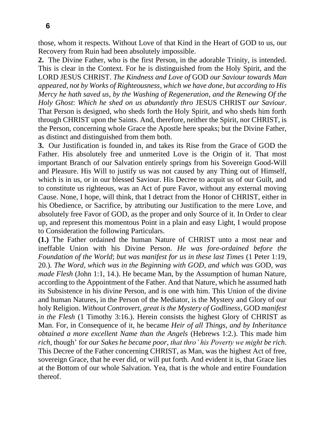those, whom it respects. Without Love of that Kind in the Heart of GOD to us, our Recovery from Ruin had been absolutely impossible.

**2.** The Divine Father, who is the first Person, in the adorable Trinity, is intended. This is clear in the Context. For he is distinguished from the Holy Spirit, and the LORD JESUS CHRIST. *The Kindness and Love of* GOD *our Saviour towards Man appeared*, *not by Works of Righteousness*, *which we have done*, *but according to His Mercy he hath saved us*, *by the Washing of Regeneration*, *and the Renewing Of the Holy Ghost*: *Which he shed on us abundantly thro* JESUS CHRIST *our Saviour*. That Person is designed, who sheds forth the Holy Spirit, and who sheds him forth through CHRIST upon the Saints. And, therefore, neither the Spirit, nor CHRIST, is the Person, concerning whole Grace the Apostle here speaks; but the Divine Father, as distinct and distinguished from them both.

**3.** Our Justification is founded in, and takes its Rise from the Grace of GOD the Father. His absolutely free and unmerited Love is the Origin of it. That most important Branch of our Salvation entirely springs from his Sovereign Good-Will and Pleasure. His Will to justify us was not caused by any Thing out of Himself, which is in us, or in our blessed Saviour. His Decree to acquit us of our Guilt, and to constitute us righteous, was an Act of pure Favor, without any external moving Cause. None, I hope, will think, that I detract from the Honor of CHRIST, either in his Obedience, or Sacrifice, by attributing our Justification to the mere Love, and absolutely free Favor of GOD, as the proper and only Source of it. In Order to clear up, and represent this momentous Point in a plain and easy Light, I would propose to Consideration the following Particulars.

**(1.)** The Father ordained the human Nature of CHRIST unto a most near and ineffable Union with his Divine Person. *He was fore-ordained before the Foundation of the World*; *but was manifest for us in these last Times* (1 Peter 1:19, 20.). *The Word*, *which was in the Beginning with GOD*, *and which was* GOD, *was made Flesh* (John 1:1, 14.). He became Man, by the Assumption of human Nature, according to the Appointment of the Father. And that Nature, which he assumed hath its Subsistence in his divine Person, and is one with him. This Union of the divine and human Natures, in the Person of the Mediator, is the Mystery and Glory of our holy Religion. *Without Controvert*, *great is the Mystery of Godliness*, GOD *manifest in the Flesh* (1 Timothy 3:16.). Herein consists the highest Glory of CHRIST as Man. For, in Consequence of it, he became *Heir of all Things*, *and by Inheritance obtained a more excellent Name than the Angels* (Hebrews 1:2.). This made him *rich*, though' for *our Sakes he became poor*, *that thro' his Poverty we might be rich*. This Decree of the Father concerning CHRIST, as Man, was the highest Act of free, sovereign Grace, that he ever did, or will put forth. And evident it is, that Grace lies at the Bottom of our whole Salvation. Yea, that is the whole and entire Foundation thereof.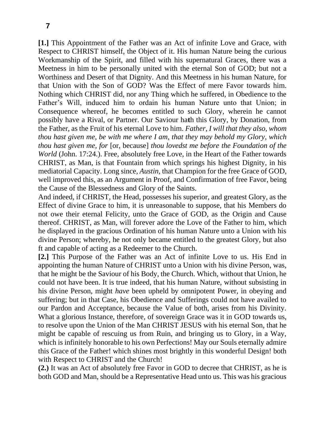**[1.]** This Appointment of the Father was an Act of infinite Love and Grace, with Respect to CHRIST himself, the Object of it. His human Nature being the curious Workmanship of the Spirit, and filled with his supernatural Graces, there was a Meetness in him to be personally united with the eternal Son of GOD; but not a Worthiness and Desert of that Dignity. And this Meetness in his human Nature, for that Union with the Son of GOD? Was the Effect of mere Favor towards him. Nothing which CHRIST did, nor any Thing which he suffered, in Obedience to the Father's Will, induced him to ordain his human Nature unto that Union; in Consequence whereof, he becomes entitled to such Glory, wherein he cannot possibly have a Rival, or Partner. Our Saviour ha**t**h this Glory, by Donation, from the Father, as the Fruit of his eternal Love to him. *Father*, *I will that they also*, *whom thou hast given me*, *be with me where I am*, *that they may behold my Glory*, *which thou hast given me*, *for* [or, because] *thou lovedst me before the Foundation of the World* (John. 17:24.). Free, absolutely free Love, in the Heart of the Father towards CHRIST, as Man, is that Fountain from which springs his highest Dignity, in his mediatorial Capacity. Long since, *Austin*, that Champion for the free Grace of GOD, well improved this, as an Argument in Proof, and Confirmation of free Favor, being the Cause of the Blessedness and Glory of the Saints.

And indeed, if CHRIST, the Head, possesses his superior, and greatest Glory, as the Effect of divine Grace to him, it is unreasonable to suppose, that his Members do not owe their eternal Felicity, unto the Grace of GOD, as the Origin and Cause thereof. CHRIST, as Man, will forever adore the Love of the Father to him, which he displayed in the gracious Ordination of his human Nature unto a Union with his divine Person; whereby, he not only became entitled to the greatest Glory, but also ft and capable of acting as a Redeemer to the Church.

**[2.]** This Purpose of the Father was an Act of infinite Love to us. His End in appointing the human Nature of CHRIST unto a Union with his divine Person, was, that he might be the Saviour of his Body, the Church. Which, without that Union, he could not have been. It is true indeed, that his human Nature, without subsisting in his divine Person, might *have* been upheld by omnipotent Power, in obeying and suffering; but in that Case, his Obedience and Sufferings could not have availed to our Pardon and Acceptance, because the Value of both, arises from his Divinity. What a glorious Instance, therefore, of sovereign Grace was it in GOD towards us, to resolve upon the Union of the Man CHRIST JESUS with his eternal Son, that he might be capable of rescuing us from Ruin, and bringing us to Glory, in a Way, which is infinitely honorable to his own Perfections! May our Souls eternally admire this Grace of the Father! which shines most brightly in this wonderful Design! both with Respect to CHRIST and the Church!

**(2.)** It was an Act of absolutely free Favor in GOD to decree that CHRIST, as he is both GOD and Man, should be a Representative Head unto us. This was his gracious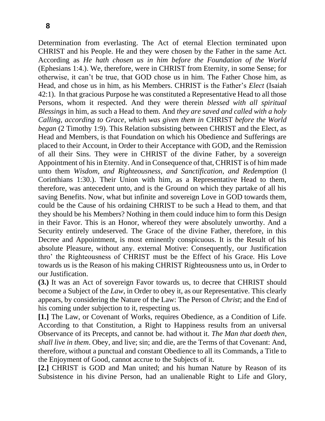Determination from everlasting. The Act of eternal Election terminated upon CHRIST and his People. He and they were chosen by the Father in the same Act. According as *He hath chosen us in him before the Foundation of the World* (Ephesians 1:4.). We, therefore, were in CHRIST from Eternity, in some Sense; for otherwise, it can't be true, that GOD chose us in him. The Father Chose him, as Head, and chose us in him, as his Members. CHRIST is the Father's *Elect* (Isaiah 42:1). In that gracious Purpose he was constituted a Representative Head to all those Persons, whom it respected. And they were therein *blessed with all spiritual Blessings* in him, as such a Head to them. And *they are saved and called with a holy Calling*, *according to Grace*, *which was given them in* CHRIST *before the World began* (2 Timothy 1:9). This Relation subsisting between CHRIST and the Elect, as Head and Members, is that Foundation on which his Obedience and Sufferings are placed to their Account, in Order to their Acceptance with GOD, and the Remission of all their Sins. They were in CHRIST of the divine Father, by a sovereign Appointment of his in Eternity. And in Consequence of that, CHRIST is of him made unto them *Wisdom*, *and Righteousness*, *and Sanctification*, *and Redemption* (l Corinthians 1:30.). Their Union with him, as a Representative Head to them, therefore, was antecedent unto, and is the Ground on which they partake of all his saving Benefits. Now, what but infinite and sovereign Love in GOD towards them, could be the Cause of his ordaining CHRIST to be such a Head to them, and that they should be his Members? Nothing in them could induce him to form this Design in their Favor. This is an Honor, whereof they were absolutely unworthy. And a Security entirely undeserved. The Grace of the divine Father, therefore, in this Decree and Appointment, is most eminently conspicuous. It is the Result of his absolute Pleasure, without any. external Motive: Consequently, our Justification thro' the Righteousness of CHRIST must be the Effect of his Grace. His Love towards us is the Reason of his making CHRIST Righteousness unto us, in Order to our Justification.

**(3.)** It was an Act of sovereign Favor towards us, to decree that CHRIST should become a Subject of the *Law*, in Order to obey it, as our Representative. This clearly appears, by considering the Nature of the Law: The Person of *Christ*; and the End of his coming under subjection to it, respecting us.

**[1.]** The Law, or Covenant of Works, requires Obedience, as a Condition of Life. According to that Constitution, a Right to Happiness results from an universal Observance of its Precepts, and cannot be. had without it. *The Man that doeth then*, *shall live in them*. Obey, and live; sin; and die, are the Terms of that Covenant: And, therefore, without a punctual and constant Obedience to all its Commands, a Title to the Enjoyment of Good, cannot accrue to the Subjects of it.

**[2.]** CHRIST is GOD and Man united; and his human Nature by Reason of its Subsistence in his divine Person, had an unalienable Right to Life and Glory,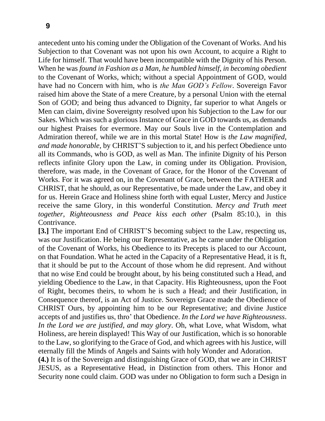antecedent unto his coming under the Obligation of the Covenant of Works. And his Subjection to that Covenant was not upon his own Account, to acquire a Right to Life for himself. That would have been incompatible with the Dignity of his Person. When he was *found in Fashion as a Man*, *he humbled himself*, *in becoming obedient*  to the Covenant of Works, which; without a special Appointment of GOD, would have had no Concern with him, who is *the Man GOD's Fellow*. Sovereign Favor raised him above the State of a mere Creature, by a personal Union with the eternal Son of GOD; and being thus advanced to Dignity, far superior to what Angels or Men can claim, divine Sovereignty resolved upon his Subjection to the Law for our Sakes. Which was such a glorious Instance of Grace in GOD towards us, as demands our highest Praises for evermore. May our Souls live in the Contemplation and Admiration thereof, while we are in this mortal State! How is *the Law magnified*, *and made honorable*, by CHRIST'S subjection to it, and his perfect Obedience unto all its Commands, who is GOD, as well as Man. The infinite Dignity of his Person reflects infinite Glory upon the Law, in coming under its Obligation. Provision, therefore, was made, in the Covenant of Grace, for the Honor of the Covenant of Works. For it was agreed on, in the Covenant of Grace, between the FATHER and CHRIST, that he should, as our Representative, be made under the Law, and obey it for us. Herein Grace and Holiness shine forth with equal Luster, Mercy and Justice receive the same Glory, in this wonderful Constitution. *Mercy and Truth meet together*, *Righteousness and Peace kiss each other* (Psalm 85:10.), in this Contrivance.

**[3.]** The important End of CHRIST'S becoming subject to the Law, respecting us, was our Justification. He being our Representative, as he came under the Obligation of the Covenant of Works, his Obedience to its Precepts is placed to our Account, on that Foundation. What he acted in the Capacity of a Representative Head, it is ft, that it should be put to the Account of those whom he did represent. And without that no wise End could be brought about, by his being constituted such a Head, and yielding Obedience to the Law, in that Capacity. His Righteousness, upon the Foot of Right, becomes theirs, to whom he is such a Head; and their Justification, in Consequence thereof, is an Act of Justice. Sovereign Grace made the Obedience of CHRIST Ours, by appointing him to be our Representative; and divine Justice accepts of and justifies us, thro' that Obedience. *In the Lord we have Righteousness*. *In the Lord we are justified*, *and may glory*. Oh, what Love, what Wisdom, what Holiness, are herein displayed! This Way of our Justification, which is so honorable to the Law, so glorifying to the Grace of God, and which agrees with his Justice, will eternally fill the Minds of Angels and Saints with holy Wonder and Adoration.

**(4.)** It is of the Sovereign and distinguishing Grace of GOD, that we are in CHRIST JESUS, as a Representative Head, in Distinction from others. This Honor and Security none could claim. GOD was under no Obligation to form such a Design in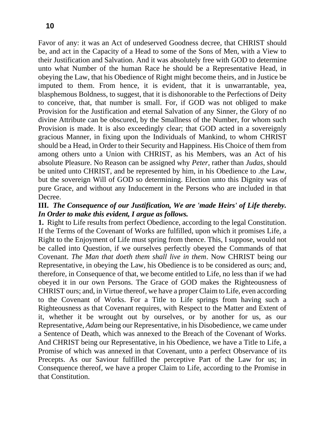Favor of any: it was an Act of undeserved Goodness decree, that CHRIST should be, and act in the Capacity of a Head to some of the Sons of Men, with a View to their Justification and Salvation. And it was absolutely free with GOD to determine unto what Number of the human Race he should be a Representative Head, in obeying the Law, that his Obedience of Right might become theirs, and in Justice be imputed to them. From hence, it is evident, that it is unwarrantable, yea, blasphemous Boldness, to suggest, that it is dishonorable to the Perfections of Deity to conceive, that, that number is small. For, if GOD was not obliged to make Provision for the Justification and eternal Salvation of any Sinner, the Glory of no divine Attribute can be obscured, by the Smallness of the Number, for whom such Provision is made. It is also exceedingly clear; that GOD acted in a sovereignly gracious Manner, in fixing upon the Individuals of Mankind, to whom CHRIST should be a Head, in Order to their Security and Happiness. His Choice of them from among others unto a Union with CHRIST, as his Members, was an Act of his absolute Pleasure. No Reason can be assigned why *Peter*, rather than *Judas*, should be united unto CHRIST, and be represented by him, in his Obedience to .the Law, but the sovereign Will of GOD so determining. Election unto this Dignity was of pure Grace, and without any Inducement in the Persons who are included in that Decree.

### **III.** *The Consequence of our Justification, We are 'made Heirs' of Life thereby. In Order to make this evident, I argue as follows.*

**1.** Right to Life results from perfect Obedience, according to the legal Constitution. If the Terms of the Covenant of Works are fulfilled, upon which it promises Life, a Right to the Enjoyment of Life must spring from thence. This, I suppose, would not be called into Question, if we ourselves perfectly obeyed the Commands of that Covenant. *The Man that doeth them shall live in them*. Now CHRIST being our Representative, in obeying the Law, his Obedience is to be considered as ours; and, therefore, in Consequence of that, we become entitled to Life, no less than if we had obeyed it in our own Persons. The Grace of GOD makes the Righteousness of CHRIST ours; and, in Virtue thereof, we have a proper Claim to Life, even according to the Covenant of Works. For a Title to Life springs from having such a Righteousness as that Covenant requires, with Respect to the Matter and Extent of it, whether it be wrought out by ourselves, or by another for us, as our Representative, *Adam* being our Representative, in his Disobedience, we came under a Sentence of Death, which was annexed to the Breach of the Covenant of Works. And CHRIST being our Representative, in his Obedience, we have a Title to Life, a Promise of which was annexed in that Covenant, unto a perfect Observance of its Precepts. As our Saviour fulfilled the perceptive Part of the Law for us; in Consequence thereof, we have a proper Claim to Life, according to the Promise in that Constitution.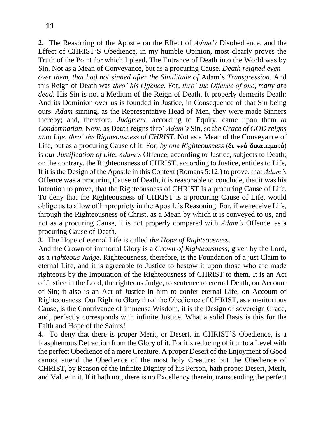**2.** The Reasoning of the Apostle on the Effect of *Adam's* Disobedience, and the Effect of CHRIST'S Obedience, in my humble Opinion, most clearly proves the Truth of the Point for which I plead. The Entrance of Death into the World was by Sin. Not as a Mean of Conveyance, but as a procuring Cause. *Death reigned even*

*over them*, *that had not sinned after the Similitude of* Adam's *Transgression*. And this Reign of Death was *thro' his Offence*. For, *thro' the Offence of one*, *many are dead*. His Sin is not a Medium of the Reign of Death. It properly demerits Death: And its Dominion over us is founded in Justice, in Consequence of that Sin being ours. *Adam* sinning, as the Representative Head of Men, they were made Sinners thereby; and, therefore, *Judgment*, according to Equity, came upon them *to Condemnation*. Now, as Death reigns thro' *Adam's* Sin, so *the Grace of GOD reigns unto Life*, *thro' the Righteousness of CHRIST*. Not as a Mean of the Conveyance of Life, but as a procuring Cause of it. For, *by one Righteousness* (δι ενό δικαιωματό) is *our Justification of Life*. *Adam's* Offence, according to Justice, subjects to Death; on the contrary, the Righteousness of CHRIST, according to Justice, entitles to Life, If it is the Design of the Apostle in this Context (Romans 5:12.) to prove, that *Adam's*  Offence was a procuring Cause of Death, it is reasonable to conclude, that it was his Intention to prove, that the Righteousness of CHRIST Is a procuring Cause of Life. To deny that the Righteousness of CHRIST is a procuring Cause of Life, would oblige us to allow of Impropriety in the Apostle's Reasoning. For, if we receive Life, through the Righteousness of Christ, as a Mean by which it is conveyed to us, and not as a procuring Cause, it is not properly compared with *Adam's* Offence, as a procuring Cause of Death.

**3.** The Hope of eternal Life is called *the Hope of Righteousness*.

And the Crown of immortal Glory is a *Crown of Righteousness*, given by the Lord, as a *righteous Judge*. Righteousness, therefore, is the Foundation of a just Claim to eternal Life, and it is agreeable to Justice to bestow it upon those who are made righteous by the Imputation of the Righteousness of CHRIST to them. It is an Act of Justice in the Lord, the righteous Judge, to sentence to eternal Death, on Account of Sin; it also is an Act of Justice in him to confer eternal Life, on Account of Righteousness. Our Right to Glory thro' the Obedience of CHRIST, as a meritorious Cause, is the Contrivance of immense Wisdom, it is the Design of sovereign Grace, and, perfectly corresponds with infinite Justice. What a solid Basis is this for the Faith and Hope of the Saints!

**4.** To deny that there is proper Merit, or Desert, in CHRIST'S Obedience, is a blasphemous Detraction from the Glory of it. For itis reducing of it unto a Level with the perfect Obedience of a mere Creature. A proper Desert of the Enjoyment of Good cannot attend the Obedience of the most holy Creature; but the Obedience of CHRIST, by Reason of the infinite Dignity of his Person, hath proper Desert, Merit, and Value in it. If it hath not, there is no Excellency therein, transcending the perfect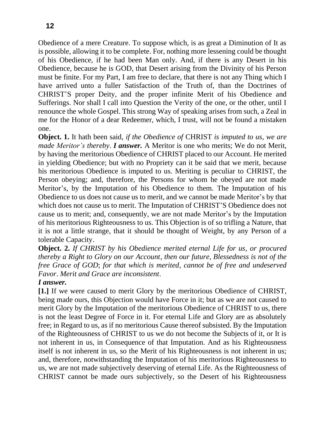Obedience of a mere Creature. To suppose which, is as great a Diminution of It as is possible, allowing it to be complete. For, nothing more lessening could be thought of his Obedience, if he had been Man only. And, if there is any Desert in his Obedience, because he is GOD, that Desert arising from the Divinity of his Person must be finite. For my Part, I am free to declare, that there is not any Thing which I have arrived unto a fuller Satisfaction of the Truth of, than the Doctrines of CHRIST'S proper Deity, and the proper infinite Merit of his Obedience and Sufferings. Nor shall I call into Question the Verity of the one, or the other, until I renounce the whole Gospel. This strong Way of speaking arises from such, a Zeal in me for the Honor of a dear Redeemer, which, I trust, will not be found a mistaken one.

**Object. 1.** It hath been said, *if the Obedience of* CHRIST *is imputed to us*, *we are made Meritor's thereby*. *I answer.* A Meritor is one who merits; We do not Merit, by having the meritorious Obedience of CHRIST placed to our Account. He merited in yielding Obedience; but with no Propriety can it be said that we merit, because his meritorious Obedience is imputed to us. Meriting is peculiar to CHRIST, the Person obeying; and, therefore, the Persons for whom he obeyed are not made Meritor's, by the Imputation of his Obedience to them. The Imputation of his Obedience to us does not cause us to merit, and we cannot be made Meritor's by that which does not cause us to merit. The Imputation of CHRIST'S Obedience does not cause us to merit; and, consequently, we are not made Meritor's by the Imputation of his meritorious Righteousness to us. This Objection is of so trifling a Nature, that it is not a little strange, that it should be thought of Weight, by any Person of a tolerable Capacity.

**Object. 2.** *If CHRIST by his Obedience merited eternal Life for us*, *or procured thereby a Right to Glory on our Account*, *then our future*, *Blessedness is not of the free Grace of GOD*; *for that which is merited*, *cannot be of free and undeserved Favor*. *Merit and Grace are inconsistent*.

### *I answer.*

**[1.]** If we were caused to merit Glory by the meritorious Obedience of CHRIST, being made ours, this Objection would have Force in it; but as we are not caused to merit Glory by the Imputation of the meritorious Obedience of CHRIST to us, there is not the least Degree of Force in it. For eternal Life and Glory are as absolutely free; in Regard to us, as if no meritorious Cause thereof subsisted. By the Imputation of the Righteousness of CHRIST to us we do not become the Subjects of it, or It is not inherent in us, in Consequence of that Imputation. And as his Righteousness itself is not inherent in us, so the Merit of his Righteousness is not inherent in us; and, therefore, notwithstanding the Imputation of his meritorious Righteousness to us, we are not made subjectively deserving of eternal Life. As the Righteousness of CHRIST cannot be made ours subjectively, so the Desert of his Righteousness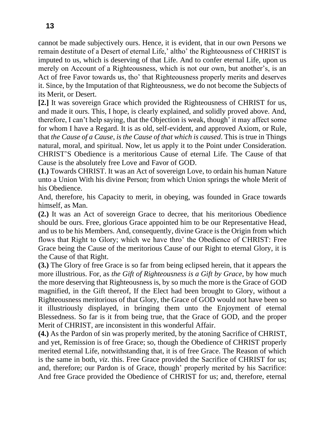cannot be made subjectively ours. Hence, it is evident, that in our own Persons we remain destitute of a Desert of eternal Life,' altho' the Righteousness of CHRIST is imputed to us, which is deserving of that Life. And to confer eternal Life, upon us merely on Account of a Righteousness, which is not our own, but another's, is an Act of free Favor towards us, tho' that Righteousness properly merits and deserves it. Since, by the Imputation of that Righteousness, we do not become the Subjects of its Merit, or Desert.

**[2.]** It was sovereign Grace which provided the Righteousness of CHRIST for us, and made it ours. This, I hope, is clearly explained, and solidly proved above. And, therefore, I can't help saying, that the Objection is weak, though' it may affect some for whom I have a Regard. It is as old, self-evident, and approved Axiom, or Rule, that *the Cause of a Cause*, *is the Cause of that which is caused*. This is true in Things natural, moral, and spiritual. Now, let us apply it to the Point under Consideration. CHRIST'S Obedience is a meritorious Cause of eternal Life. The Cause of that Cause is the absolutely free Love and Favor of GOD.

**(1.)** Towards CHRIST. It was an Act of sovereign Love, to ordain his human Nature unto a Union With his divine Person; from which Union springs the whole Merit of his Obedience.

And, therefore, his Capacity to merit, in obeying, was founded in Grace towards himself, as Man.

**(2.)** It was an Act of sovereign Grace to decree, that his meritorious Obedience should be ours. Free, glorious Grace appointed him to be our Representative Head, and us to be his Members. And, consequently, divine Grace is the Origin from which flows that Right to Glory; which we have thro' the Obedience of CHRIST: Free Grace being the Cause of the meritorious Cause of our Right to eternal Glory, it is the Cause of that Right.

**(3.)** The Glory of free Grace is so far from being eclipsed herein, that it appears the more illustrious. For, as *the Gift of Righteousness is a Gift by Grace*, by how much the more deserving that Righteousness is, by so much the more is the Grace of GOD magnified, in the Gift thereof, If the Elect had been brought to Glory, without a Righteousness meritorious of that Glory, the Grace of GOD would not have been so it illustriously displayed, in bringing them unto the Enjoyment of eternal Blessedness. So far is it from being true, that the Grace of GOD, and the proper Merit of CHRIST, are inconsistent in this wonderful Affair.

**(4.)** As the Pardon of sin was properly merited, by the atoning Sacrifice of CHRIST, and yet, Remission is of free Grace; so, though the Obedience of CHRIST properly merited eternal Life, notwithstanding that, it is of free Grace. The Reason of which is the same in both, *viz*. this. Free Grace provided the Sacrifice of CHRIST for us; and, therefore; our Pardon is of Grace, though' properly merited by his Sacrifice: And free Grace provided the Obedience of CHRIST for us; and, therefore, eternal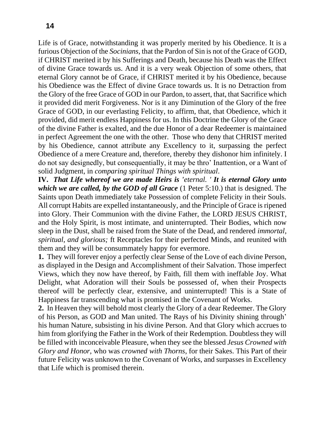Life is of Grace, notwithstanding it was properly merited by his Obedience. It is a furious Objection of the *Socinians*, that the Pardon of Sin is not of the Grace of GOD, if CHRIST merited it by his Sufferings and Death, because his Death was the Effect of divine Grace towards us. And it is a very weak Objection of some others, that eternal Glory cannot be of Grace, if CHRIST merited it by his Obedience, because his Obedience was the Effect of divine Grace towards us. It is no Detraction from the Glory of the free Grace of GOD in our Pardon, to assert, that, that Sacrifice which it provided did merit Forgiveness. Nor is it any Diminution of the Glory of the free Grace of GOD, in our everlasting Felicity, to affirm, that, that Obedience, which it provided, did merit endless Happiness for us. In this Doctrine the Glory of the Grace of the divine Father is exalted, and the due Honor of a dear Redeemer is maintained in perfect Agreement the one with the other. Those who deny that CHRIST merited by his Obedience, cannot attribute any Excellency to it, surpassing the perfect Obedience of a mere Creature and, therefore, thereby they dishonor him infinitely. I do not say designedly, but consequentially, it may be thro' Inattention, or a Want of

solid Judgment, in *comparing spiritual Things with spiritual*. **IV.** *That Life whereof we are made Heirs is 'eternal. ' It is eternal Glory unto which we are called, by the GOD of all Grace* (1 Peter 5:10.) that is designed. The Saints upon Death immediately take Possession of complete Felicity in their Souls. All corrupt Habits are expelled instantaneously, and the Principle of Grace is ripened into Glory. Their Communion with the divine Father, the LORD JESUS CHRIST, and the Holy Spirit, is most intimate, and uninterrupted. Their Bodies, which now sleep in the Dust, shall be raised from the State of the Dead, and rendered *immortal*, *spiritual*, *and glorious;* ft Receptacles for their perfected Minds, and reunited with them and they will be consummately happy for evermore.

**1.** They will forever enjoy a perfectly clear Sense of the Love of each divine Person, as displayed in the Design and Accomplishment of their Salvation. Those imperfect Views, which they now have thereof, by Faith, fill them with ineffable Joy. What Delight, what Adoration will their Souls be possessed of, when their Prospects thereof will be perfectly clear, extensive, and uninterrupted! This is a State of Happiness far transcending what is promised in the Covenant of Works.

**2.** In Heaven they will behold most clearly the Glory of a dear Redeemer. The Glory of his Person, as GOD and Man united. The Rays of his Divinity shining through' his human Nature, subsisting in his divine Person. And that Glory which accrues to him from glorifying the Father in the Work of their Redemption. Doubtless they will be filled with inconceivable Pleasure, when they see the blessed *Jesus Crowned with Glory and Honor*, who was *crowned with Thorns*, for their Sakes. This Part of their future Felicity was unknown to the Covenant of Works, and surpasses in Excellency that Life which is promised therein.